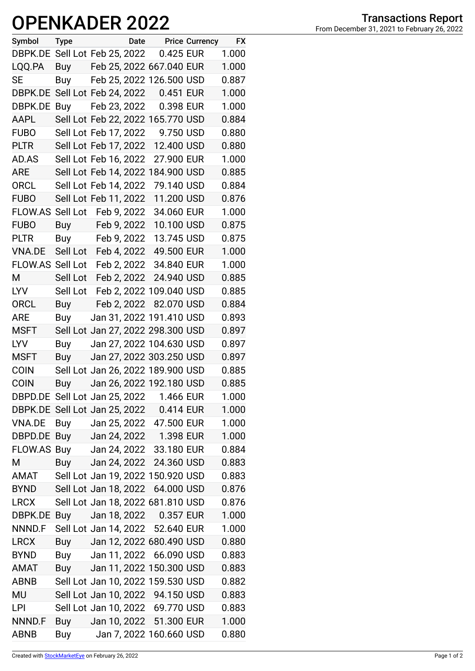## OPENKADER 2022 From December 31, 2021 to February 26, 2022

| Symbol                              | <b>Type</b>           |                       | Date |                                   | <b>Price Currency</b> | <b>FX</b> |
|-------------------------------------|-----------------------|-----------------------|------|-----------------------------------|-----------------------|-----------|
| DBPK.DE                             | Sell Lot Feb 25, 2022 |                       |      | 0.425 EUR                         |                       | 1.000     |
| LQQ.PA                              |                       |                       |      | Buy Feb 25, 2022 667.040 EUR      |                       | 1.000     |
| SE                                  |                       |                       |      | Buy Feb 25, 2022 126.500 USD      |                       | 0.887     |
| DBPK.DE                             | Sell Lot Feb 24, 2022 |                       |      | 0.451 EUR                         |                       | 1.000     |
| DBPK.DE                             | Buy                   | Feb 23, 2022          |      | 0.398 EUR                         |                       | 1.000     |
| AAPL                                |                       |                       |      | Sell Lot Feb 22, 2022 165.770 USD |                       | 0.884     |
| <b>FUBO</b>                         | Sell Lot Feb 17, 2022 |                       |      | 9.750 USD                         |                       | 0.880     |
| <b>PLTR</b>                         | Sell Lot Feb 17, 2022 |                       |      | 12.400 USD                        |                       | 0.880     |
| AD.AS                               | Sell Lot Feb 16, 2022 |                       |      | 27.900 EUR                        |                       | 1.000     |
| <b>ARE</b>                          |                       |                       |      | Sell Lot Feb 14, 2022 184.900 USD |                       | 0.885     |
| <b>ORCL</b>                         | Sell Lot Feb 14, 2022 |                       |      | 79.140 USD                        |                       | 0.884     |
| <b>FUBO</b>                         |                       | Sell Lot Feb 11, 2022 |      | 11.200 USD                        |                       | 0.876     |
| FLOW.AS                             | Sell Lot              | Feb 9, 2022           |      | 34.060 EUR                        |                       | 1.000     |
| <b>FUBO</b>                         | <b>Buy</b>            | Feb 9, 2022           |      | 10.100 USD                        |                       | 0.875     |
| <b>PLTR</b>                         | <b>Buy</b>            | Feb 9, 2022           |      | 13.745 USD                        |                       | 0.875     |
| VNA.DE                              | Sell Lot              | Feb 4, 2022           |      | 49.500 EUR                        |                       | 1.000     |
| FLOW.AS Sell Lot                    |                       | Feb 2, 2022           |      | 34.840 EUR                        |                       | 1.000     |
| М                                   | Sell Lot              | Feb 2, 2022           |      | 24.940 USD                        |                       | 0.885     |
| LYV                                 | Sell Lot              |                       |      | Feb 2, 2022 109.040 USD           |                       | 0.885     |
| <b>ORCL</b>                         | <b>Buy</b>            | Feb 2, 2022           |      | 82.070 USD                        |                       | 0.884     |
| <b>ARE</b>                          | Buy                   |                       |      | Jan 31, 2022 191.410 USD          |                       | 0.893     |
| <b>MSFT</b>                         |                       |                       |      | Sell Lot Jan 27, 2022 298.300 USD |                       | 0.897     |
| <b>LYV</b>                          | Buy                   |                       |      | Jan 27, 2022 104.630 USD          |                       | 0.897     |
| <b>MSFT</b>                         | Buy                   |                       |      | Jan 27, 2022 303.250 USD          |                       | 0.897     |
| <b>COIN</b>                         |                       |                       |      | Sell Lot Jan 26, 2022 189.900 USD |                       | 0.885     |
| <b>COIN</b>                         | Buy                   |                       |      | Jan 26, 2022 192.180 USD          |                       | 0.885     |
| DBPD.DE Sell Lot Jan 25, 2022       |                       |                       |      | 1.466 EUR                         |                       | 1.000     |
| DBPK.DE Sell Lot Jan 25, 2022       |                       |                       |      | 0.414 EUR                         |                       | 1.000     |
| <b>VNA.DE</b>                       |                       | Buy Jan 25, 2022      |      | 47.500 EUR                        |                       | 1.000     |
| DBPD.DE                             |                       |                       |      | Buy Jan 24, 2022 1.398 EUR        |                       | 1.000     |
| FLOW.AS Buy Jan 24, 2022 33.180 EUR |                       |                       |      |                                   |                       | 0.884     |
| Μ                                   |                       | Buy Jan 24, 2022      |      | 24.360 USD                        |                       | 0.883     |
| AMAT                                |                       |                       |      | Sell Lot Jan 19, 2022 150.920 USD |                       | 0.883     |
| BYND                                | Sell Lot Jan 18, 2022 |                       |      | 64.000 USD                        |                       | 0.876     |
| <b>LRCX</b>                         |                       |                       |      | Sell Lot Jan 18, 2022 681.810 USD |                       | 0.876     |
| DBPK.DE                             | Buy                   |                       |      | Jan 18, 2022  0.357 EUR           |                       | 1.000     |
| NNND.F                              |                       |                       |      | Sell Lot Jan 14, 2022 52.640 EUR  |                       | 1.000     |
| <b>LRCX</b>                         |                       |                       |      | Buy Jan 12, 2022 680.490 USD      |                       | 0.880     |
| <b>BYND</b>                         | Buy Jan 11, 2022      |                       |      | 66.090 USD                        |                       | 0.883     |
| AMAT                                |                       |                       |      | Buy Jan 11, 2022 150.300 USD      |                       | 0.883     |
| <b>ABNB</b>                         |                       |                       |      | Sell Lot Jan 10, 2022 159.530 USD |                       | 0.882     |
| MU                                  |                       |                       |      | Sell Lot Jan 10, 2022 94.150 USD  |                       | 0.883     |
| LPI                                 |                       |                       |      | Sell Lot Jan 10, 2022 69.770 USD  |                       | 0.883     |
| NNND.F                              | Buy                   |                       |      | Jan 10, 2022 51.300 EUR           |                       | 1.000     |
| <b>ABNB</b>                         | Buy                   |                       |      | Jan 7, 2022 160.660 USD           |                       | 0.880     |